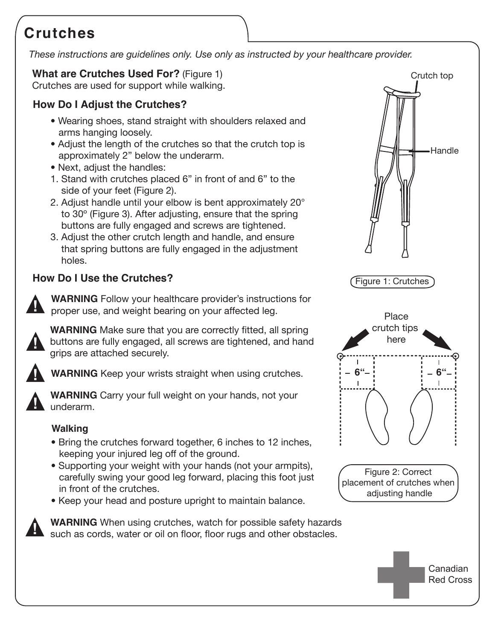# **Crutches**

*These instructions are guidelines only. Use only as instructed by your healthcare provider.*

## **What are Crutches Used For?** (Figure 1)

Crutches are used for support while walking.

## **How Do I Adjust the Crutches?**

- Wearing shoes, stand straight with shoulders relaxed and arms hanging loosely.
- Adjust the length of the crutches so that the crutch top is approximately 2" below the underarm.
- Next, adjust the handles:
- 1. Stand with crutches placed 6" in front of and 6" to the side of your feet (Figure 2).
- 2. Adjust handle until your elbow is bent approximately 20° to 30º (Figure 3). After adjusting, ensure that the spring buttons are fully engaged and screws are tightened.
- 3. Adjust the other crutch length and handle, and ensure that spring buttons are fully engaged in the adjustment holes.

# **How Do I Use the Crutches?**



**WARNING** Follow your healthcare provider's instructions for proper use, and weight bearing on your affected leg.



**WARNING** Make sure that you are correctly fitted, all spring buttons are fully engaged, all screws are tightened, and hand grips are attached securely.



**WARNING** Keep your wrists straight when using crutches. **!**



**WARNING** Carry your full weight on your hands, not your underarm.

## **Walking**

- Bring the crutches forward together, 6 inches to 12 inches, keeping your injured leg off of the ground.
- Supporting your weight with your hands (not your armpits), carefully swing your good leg forward, placing this foot just in front of the crutches.
- Keep your head and posture upright to maintain balance.



**WARNING** When using crutches, watch for possible safety hazards<br>
such as cords, water or oil on floor, floor rugs and other obstacles.



Red Cross